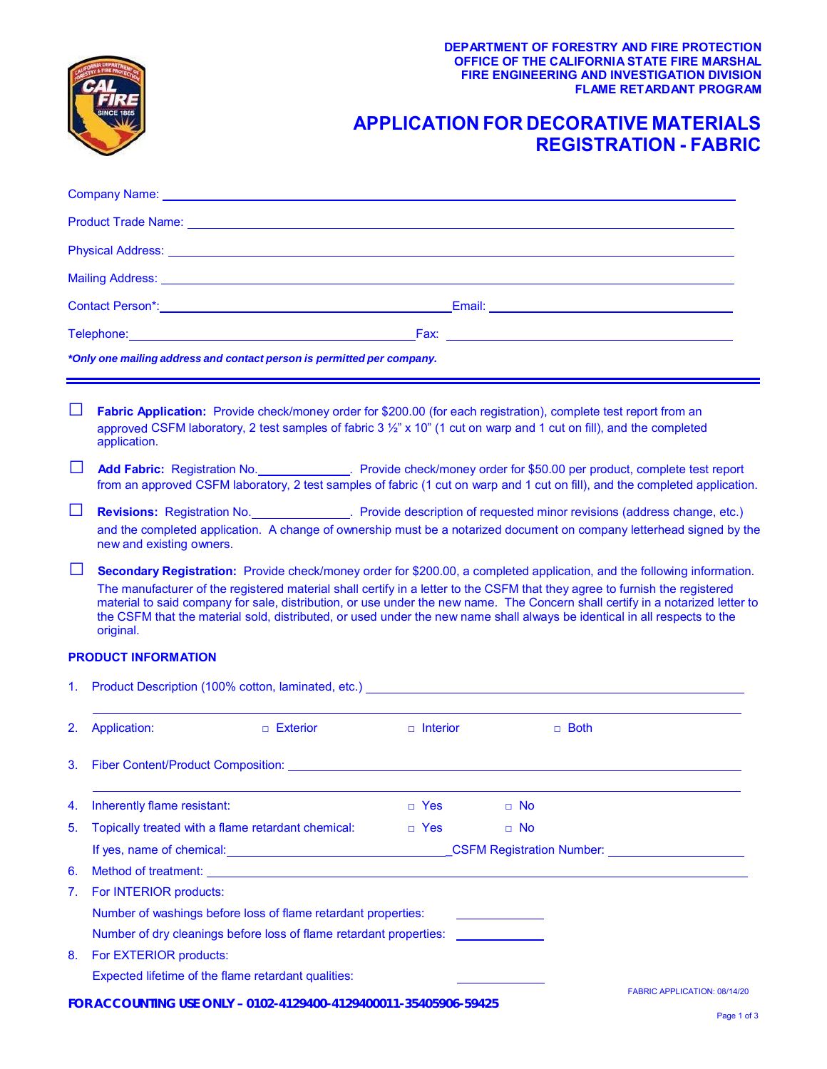**OFFICE OF THE CALIFORNIA STATE FIRE MARSHAL DEPARTMENT OF FORESTRY AND FIRE PROTECTION FIRE ENGINEERING AND INVESTIGATION DIVISION FLAME RETARDANT PROGRAM**

## **APPLICATION FOR DECORATIVE MATERIALS REGISTRATION - FABRIC**

|              | Company Name: <u>Discoversion and the company Name:</u> Discoversion and the company Name:                                                                                                                                                                                                                                                                                                                                                                                                                                         |                   |           |             |                                                                                                                |  |
|--------------|------------------------------------------------------------------------------------------------------------------------------------------------------------------------------------------------------------------------------------------------------------------------------------------------------------------------------------------------------------------------------------------------------------------------------------------------------------------------------------------------------------------------------------|-------------------|-----------|-------------|----------------------------------------------------------------------------------------------------------------|--|
|              |                                                                                                                                                                                                                                                                                                                                                                                                                                                                                                                                    |                   |           |             |                                                                                                                |  |
|              |                                                                                                                                                                                                                                                                                                                                                                                                                                                                                                                                    |                   |           |             |                                                                                                                |  |
|              |                                                                                                                                                                                                                                                                                                                                                                                                                                                                                                                                    |                   |           |             |                                                                                                                |  |
|              |                                                                                                                                                                                                                                                                                                                                                                                                                                                                                                                                    |                   |           |             |                                                                                                                |  |
|              |                                                                                                                                                                                                                                                                                                                                                                                                                                                                                                                                    |                   |           |             |                                                                                                                |  |
|              | *Only one mailing address and contact person is permitted per company.                                                                                                                                                                                                                                                                                                                                                                                                                                                             |                   |           |             |                                                                                                                |  |
|              | Fabric Application: Provide check/money order for \$200.00 (for each registration), complete test report from an<br>approved CSFM laboratory, 2 test samples of fabric 3 1/2" x 10" (1 cut on warp and 1 cut on fill), and the completed<br>application.                                                                                                                                                                                                                                                                           |                   |           |             |                                                                                                                |  |
|              | Add Fabric: Registration No. Provide check/money order for \$50.00 per product, complete test report<br>from an approved CSFM laboratory, 2 test samples of fabric (1 cut on warp and 1 cut on fill), and the completed application.                                                                                                                                                                                                                                                                                               |                   |           |             |                                                                                                                |  |
| $\Box$       | Revisions: Registration No. Provide description of requested minor revisions (address change, etc.)<br>and the completed application. A change of ownership must be a notarized document on company letterhead signed by the<br>new and existing owners.                                                                                                                                                                                                                                                                           |                   |           |             |                                                                                                                |  |
| $\mathsf{L}$ | Secondary Registration: Provide check/money order for \$200.00, a completed application, and the following information.<br>The manufacturer of the registered material shall certify in a letter to the CSFM that they agree to furnish the registered<br>material to said company for sale, distribution, or use under the new name. The Concern shall certify in a notarized letter to<br>the CSFM that the material sold, distributed, or used under the new name shall always be identical in all respects to the<br>original. |                   |           |             |                                                                                                                |  |
|              | <b>PRODUCT INFORMATION</b>                                                                                                                                                                                                                                                                                                                                                                                                                                                                                                         |                   |           |             |                                                                                                                |  |
| 1.           | Product Description (100% cotton, laminated, etc.) <b>Contract Contract Contract Contract Contract Contract Control</b>                                                                                                                                                                                                                                                                                                                                                                                                            |                   |           |             |                                                                                                                |  |
| 2.           | Application:<br>$\Box$ Exterior                                                                                                                                                                                                                                                                                                                                                                                                                                                                                                    | <b>n</b> Interior |           | $\Box$ Both |                                                                                                                |  |
| 3.           | Fiber Content/Product Composition: Letter and the content of the content of the content of the content of the content of the content of the content of the content of the content of the content of the content of the content                                                                                                                                                                                                                                                                                                     |                   |           |             |                                                                                                                |  |
| 4.           | Inherently flame resistant:                                                                                                                                                                                                                                                                                                                                                                                                                                                                                                        | $\Box$ Yes        | □ No      |             |                                                                                                                |  |
| 5.           | Topically treated with a flame retardant chemical:                                                                                                                                                                                                                                                                                                                                                                                                                                                                                 | $\Box$ Yes        | $\Box$ No |             |                                                                                                                |  |
|              | If yes, name of chemical: <u>contained</u> and the set of the set of the set of the set of the set of the set of the set of the set of the set of the set of the set of the set of the set of the set of the set of the set of the                                                                                                                                                                                                                                                                                                 |                   |           |             | CSFM Registration Number: Value And Alexander And Alexander And Alexander And Alexander And Alexander And Alex |  |
| 6.           |                                                                                                                                                                                                                                                                                                                                                                                                                                                                                                                                    |                   |           |             |                                                                                                                |  |
| 7.           | For INTERIOR products:                                                                                                                                                                                                                                                                                                                                                                                                                                                                                                             |                   |           |             |                                                                                                                |  |
|              | Number of washings before loss of flame retardant properties:                                                                                                                                                                                                                                                                                                                                                                                                                                                                      |                   |           |             |                                                                                                                |  |
|              | Number of dry cleanings before loss of flame retardant properties:                                                                                                                                                                                                                                                                                                                                                                                                                                                                 |                   |           |             |                                                                                                                |  |
| 8.           | For EXTERIOR products:                                                                                                                                                                                                                                                                                                                                                                                                                                                                                                             |                   |           |             |                                                                                                                |  |
|              | Expected lifetime of the flame retardant qualities:                                                                                                                                                                                                                                                                                                                                                                                                                                                                                |                   |           |             |                                                                                                                |  |
|              |                                                                                                                                                                                                                                                                                                                                                                                                                                                                                                                                    |                   |           |             | FABRIC APPLICATION: 08/14/20                                                                                   |  |

**FOR ACCOUNTING USE ONLY – 0102-4129400-4129400011-35405906-59425**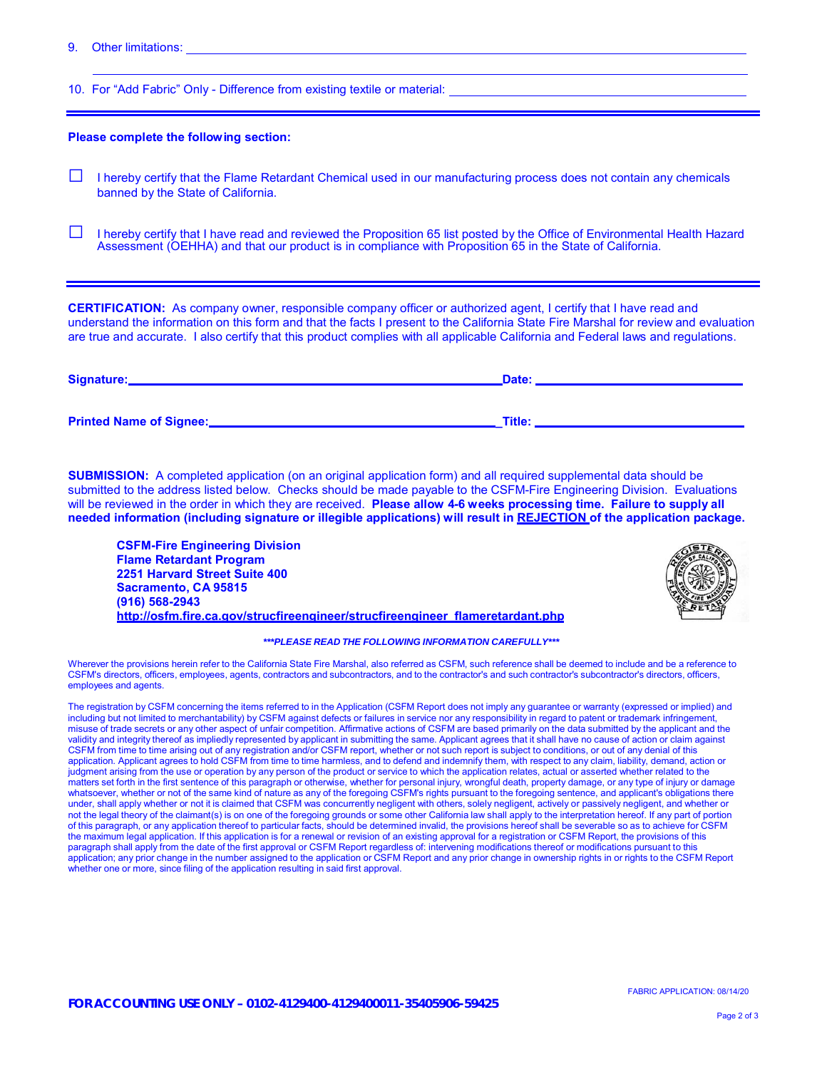9. Other limitations:

10. For "Add Fabric" Only - Difference from existing textile or material:

## **Please complete the following section:**

- **□** I hereby certify that the Flame Retardant Chemical used in our manufacturing process does not contain any chemicals banned by the State of California.
- **□** I hereby certify that I have read and reviewed the Proposition 65 list posted by the Office of Environmental Health Hazard Assessment (OEHHA) and that our product is in compliance with Proposition 65 in the State of California.

 are true and accurate. I also certify that this product complies with all applicable California and Federal laws and regulations. **CERTIFICATION:** As company owner, responsible company officer or authorized agent, I certify that I have read and understand the information on this form and that the facts I present to the California State Fire Marshal for review and evaluation

| Signature:                     | Date:  |
|--------------------------------|--------|
| <b>Printed Name of Signee:</b> | Title: |

 **SUBMISSION:** A completed application (on an original application form) and all required supplemental data should be submitted to the address listed below. Checks should be made payable to the CSFM-Fire Engineering Division. Evaluations  will be reviewed in the order in which they are received. **Please allow 4-6 weeks processing time. Failure to supply all needed information (including signature or illegible applications) will result in REJECTION of the application package.**

 **2251 Harvard Street Suite 400 CSFM-Fire Engineering Division Flame Retardant Program Sacramento, CA 95815 (916) 568-2943 [http://osfm.fire.ca.gov/strucfireengineer/strucfireengineer\\_flameretardant.php](https://osfm.fire.ca.gov/divisions/fire-engineering-and-investigations/flame-retardant-chemicals-and-fabrics/)**



## *\*\*\*PLEASE READ THE FOLLOWING INFORMATION CAREFULLY\*\*\**

 Wherever the provisions herein refer to the California State Fire Marshal, also referred as CSFM, such reference shall be deemed to include and be a reference to CSFM's directors, officers, employees, agents, contractors and subcontractors, and to the contractor's and such contractor's subcontractor's directors, officers, employees and agents.

The registration by CSFM concerning the items referred to in the Application (CSFM Report does not imply any guarantee or warranty (expressed or implied) and<br>including but not limited to merchantability) by CSFM against de misuse of trade secrets or any other aspect of unfair competition. Affirmative actions of CSFM are based primarily on the data submitted by the applicant and the validity and integrity thereof as impliedly represented by applicant in submitting the same. Applicant agrees that it shall have no cause of action or claim against<br>CSFM from time to time arising out of any registration an application. Applicant agrees to hold CSFM from time to time harmless, and to defend and indemnify them, with respect to any claim, liability, demand, action or judgment arising from the use or operation by any person of the product or service to which the application relates, actual or asserted whether related to the matters set forth in the first sentence of this paragraph or otherwise, whether for personal injury, wrongful death, property damage, or any type of injury or damage<br>whatsoever, whether or not of the same kind of nature as under, shall apply whether or not it is claimed that CSFM was concurrently negligent with others, solely negligent, actively or passively negligent, and whether or<br>not the legal theory of the claimant(s) is on one of the f of this paragraph, or any application thereof to particular facts, should be determined invalid, the provisions hereof shall be severable so as to achieve for CSFM gal application. If this appli<br>apply from the date of the<br>prior change in the numbe whether one or more, since filing of the application resulting in said first approval. the maximum legal application. If this application is for a renewal or revision of an existing approval for a registration or CSFM Report, the provisions of this<br>paragraph shall apply from the date of the first approval or